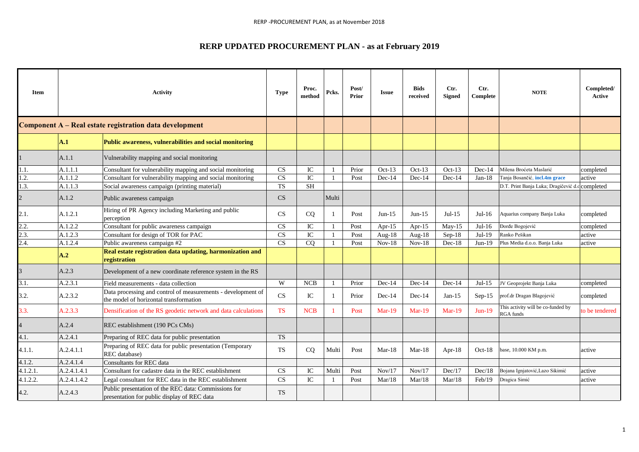## **RERP UPDATED PROCUREMENT PLAN - as at February 2019**

| <b>Item</b>                            |                                                         | <b>Activity</b>                                                                                        | <b>Type</b>            | Proc.<br>method | Pcks.        | Post/<br><b>Prior</b> | <b>Issue</b> | <b>Bids</b><br>received | Ctr.<br><b>Signed</b> | Ctr.<br>Complete | <b>NOTE</b>                                            | Completed/<br>Active |
|----------------------------------------|---------------------------------------------------------|--------------------------------------------------------------------------------------------------------|------------------------|-----------------|--------------|-----------------------|--------------|-------------------------|-----------------------|------------------|--------------------------------------------------------|----------------------|
|                                        | Component A - Real estate registration data development |                                                                                                        |                        |                 |              |                       |              |                         |                       |                  |                                                        |                      |
|                                        | A.1                                                     | Public awareness, vulnerabilities and social monitoring                                                |                        |                 |              |                       |              |                         |                       |                  |                                                        |                      |
|                                        | A.1.1                                                   | Vulnerability mapping and social monitoring                                                            |                        |                 |              |                       |              |                         |                       |                  |                                                        |                      |
| 1.1.                                   | A.1.1.1                                                 | Consultant for vulnerability mapping and social monitoring                                             | <b>CS</b>              | $\rm{IC}$       | $\mathbf{1}$ | Prior                 | $Oct-13$     | $Oct-13$                | $Oct-13$              | $Dec-14$         | Milena Broćeta Maslarić                                | completed            |
| 1.2.                                   | A.1.1.2                                                 | Consultant for vulnerability mapping and social monitoring                                             | $\overline{\text{CS}}$ | ${\rm IC}$      | $\mathbf{1}$ | Post                  | $Dec-14$     | $Dec-14$                | $Dec-14$              | $Jan-18$         | Tanja Bosančić, incl.4m grace                          | active               |
| 1.3.                                   | A.1.1.3                                                 | Social awareness campaign (printing material)                                                          | <b>TS</b>              | <b>SH</b>       |              |                       |              |                         |                       |                  | D.T. Print Banja Luka; Dragičević d.c completed        |                      |
| $\overline{c}$                         | A.1.2                                                   | Public awareness campaign                                                                              | CS                     |                 | Multi        |                       |              |                         |                       |                  |                                                        |                      |
| 2.1.                                   | A.1.2.1                                                 | Hiring of PR Agency including Marketing and public<br>perception                                       | <b>CS</b>              | <sub>CQ</sub>   | 1            | Post                  | $Jun-15$     | $Jun-15$                | $Jul-15$              | $Jul-16$         | Aquarius company Banja Luka                            | completed            |
| $\frac{2.2}{2.3}$<br>$\frac{2.3}{2.4}$ | A.1.2.2                                                 | Consultant for public awareness campaign                                                               | <b>CS</b>              | IC              | $\mathbf{1}$ | Post                  | Apr- $15$    | Apr-15                  | $May-15$              | $Jul-16$         | Đorđe Bogojević                                        | completed            |
|                                        | A.1.2.3                                                 | Consultant for design of TOR for PAC                                                                   | CS                     | IC              | $\mathbf{1}$ | Post                  | Aug- $18$    | Aug- $18$               | $Sep-18$              | $Jul-19$         | Ranko Pešikan                                          | active               |
|                                        | A.1.2.4                                                 | Public awareness campaign #2                                                                           | <b>CS</b>              | CO              | $\mathbf{1}$ | Post                  | $Nov-18$     | $Nov-18$                | $Dec-18$              | $Jun-19$         | Plus Media d.o.o. Banja Luka                           | active               |
|                                        | A.2                                                     | Real estate registration data updating, harmonization and<br>registration                              |                        |                 |              |                       |              |                         |                       |                  |                                                        |                      |
| $\overline{3}$                         | A.2.3                                                   | Development of a new coordinate reference system in the RS                                             |                        |                 |              |                       |              |                         |                       |                  |                                                        |                      |
| $\overline{3.1}$ .                     | A.2.3.1                                                 | Field measurements - data collection                                                                   | W                      | <b>NCB</b>      | 1            | Prior                 | $Dec-14$     | $Dec-14$                | $Dec-14$              | $Jul-15$         | JV Geoprojekt Banja Luka                               | completed            |
| 3.2.                                   | A.2.3.2                                                 | Data processing and control of measurements - development of<br>the model of horizontal transformation | CS                     | IC              | $\mathbf{1}$ | Prior                 | $Dec-14$     | $Dec-14$                | $Jan-15$              | $Sep-15$         | prof.dr Dragan Blagojević                              | completed            |
| 3.3.                                   | A.2.3.3                                                 | Densification of the RS geodetic network and data calculations                                         | <b>TS</b>              | <b>NCB</b>      | $\mathbf{1}$ | Post                  | $Mar-19$     | $Mar-19$                | $Mar-19$              | $Jun-19$         | This activity will be co-funded by<br><b>RGA</b> funds | to be tendered       |
| $\overline{4}$                         | A.2.4                                                   | REC establishment (190 PCs CMs)                                                                        |                        |                 |              |                       |              |                         |                       |                  |                                                        |                      |
| 4.1.                                   | A.2.4.1                                                 | Preparing of REC data for public presentation                                                          | <b>TS</b>              |                 |              |                       |              |                         |                       |                  |                                                        |                      |
| 4.1.1.                                 | A.2.4.1.1                                               | Preparing of REC data for public presentation (Temporary<br>REC database)                              | <b>TS</b>              | CQ              | Multi        | Post                  | $Mar-18$     | $Mar-18$                | Apr- $18$             | $Oct-18$         | base, 10.000 KM p.m.                                   | active               |
| 4.1.2.                                 | A.2.4.1.4                                               | Consultants for REC data                                                                               |                        |                 |              |                       |              |                         |                       |                  |                                                        |                      |
| 4.1.2.1.                               | A.2.4.1.4.1                                             | Consultant for cadastre data in the REC establishment                                                  | <b>CS</b>              | IC              | Multi        | Post                  | Nov/17       | Nov/17                  | Dec/17                | Dec/18           | Bojana Ignjatović, Lazo Sikimić                        | active               |
| 4.1.2.2.                               | A.2.4.1.4.2                                             | Legal consultant for REC data in the REC establishment                                                 | <b>CS</b>              | IC              | 1            | Post                  | Mar/18       | Mar/18                  | Mar/18                | Feb/19           | Dragica Simić                                          | active               |
| 4.2.                                   | A.2.4.3                                                 | Public presentation of the REC data: Commissions for<br>presentation for public display of REC data    | <b>TS</b>              |                 |              |                       |              |                         |                       |                  |                                                        |                      |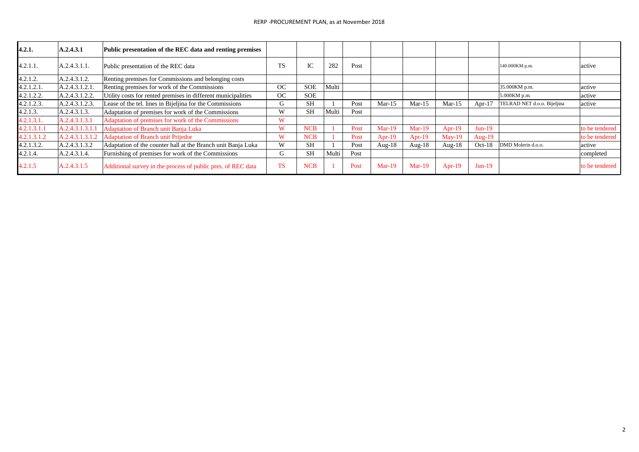| 4.2.1.      | A.2.4.3.1       | Public presentation of the REC data and renting premises      |           |               |       |      |           |           |           |           |                             |                |
|-------------|-----------------|---------------------------------------------------------------|-----------|---------------|-------|------|-----------|-----------|-----------|-----------|-----------------------------|----------------|
| 4.2.1.1.    | A.2.4.3.1.1.    | Public presentation of the REC data                           | <b>TS</b> | $\sim$<br>IU. | 282   | Post |           |           |           |           | 140.000KM p.m.              | active         |
| 4.2.1.2.    | A.2.4.3.1.2.    | Renting premises for Commissions and belonging costs          |           |               |       |      |           |           |           |           |                             |                |
| 4.2.1.2.1   | A.2.4.3.1.2.1   | Renting premises for work of the Commissions                  | OC        | <b>SOE</b>    | Multi |      |           |           |           |           | 35.000KM p.m.               | active         |
| 4.2.1.2.2.  | A.2.4.3.1.2.2.  | Utility costs for rented premises in different municipalities | OC        | <b>SOE</b>    |       |      |           |           |           |           | 5.000KM p.m.                | active         |
| 4.2.1.2.3.  | A.2.4.3.1.2.3.  | Lease of the tel. lines in Bijeljina for the Commissions      | G         | <b>SH</b>     |       | Post | $Mar-15$  | $Mar-15$  | $Mar-15$  | Apr- $17$ | TELRAD NET d.o.o. Bijeljina | active         |
| 4.2.1.3.    | A.2.4.3.1.3.    | Adaptation of premises for work of the Commissions            | W         | <b>SH</b>     | Multi | Post |           |           |           |           |                             |                |
| 4.2.1.3.1.  | A.2.4.3.1.3.1   | Adaptation of premises for work of the Commissions            | W         |               |       |      |           |           |           |           |                             |                |
| 4.2.1.3.1.1 | A.2.4.3.1.3.1.1 | Adaptation of Branch unit Banja Luka                          | W         | <b>NCB</b>    |       | Post | $Mar-19$  | $Mar-19$  | Apr-19    | $Jun-19$  |                             | to be tendered |
| 4.2.1.3.1.2 | A.2.4.3.1.3.1.2 | <b>Adaptation of Branch unit Prijedor</b>                     | W         | <b>NCB</b>    |       | Post | Apr- $19$ | Apr- $19$ | $Mav-19$  | Aug- $19$ |                             | to be tendered |
| 4.2.1.3.2.  | A.2.4.3.1.3.2   | Adaptation of the counter hall at the Branch unit Banja Luka  | W         | <b>SH</b>     |       | Post | Aug- $18$ | Aug- $18$ | Aug- $18$ | $Oct-18$  | DMD Molerin d.o.o.          | active         |
| 4.2.1.4.    | A.2.4.3.1.4.    | Furnishing of premises for work of the Commissions            | G         | <b>SH</b>     | Multi | Post |           |           |           |           |                             | completed      |
| 4.2.1.5     | A.2.4.3.1.5     | Additional survey in the process of public pres. of REC data  | <b>TS</b> | <b>NCB</b>    |       | Post | $Mar-19$  | $Mar-19$  | Apr-19    | $Jun-19$  |                             | to be tendered |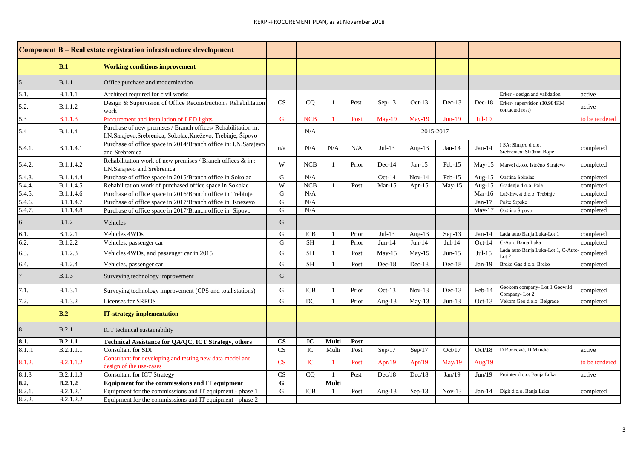|        |                  | Component B - Real estate registration infrastructure development                                                             |                        |             |              |       |             |           |          |           |                                                  |                |
|--------|------------------|-------------------------------------------------------------------------------------------------------------------------------|------------------------|-------------|--------------|-------|-------------|-----------|----------|-----------|--------------------------------------------------|----------------|
|        | B.1              | <b>Working conditions improvement</b>                                                                                         |                        |             |              |       |             |           |          |           |                                                  |                |
|        | B.1.1            | Office purchase and modernization                                                                                             |                        |             |              |       |             |           |          |           |                                                  |                |
| 5.1.   | B.1.1.1          | Architect required for civil works                                                                                            |                        |             |              |       |             |           |          |           | Erker - design and validation                    | active         |
| 5.2.   | B.1.1.2          | Design & Supervision of Office Reconstruction / Rehabilitation<br>work                                                        | <b>CS</b>              | CQ          | 1            | Post  | $Sep-13$    | $Oct-13$  | $Dec-13$ | $Dec-18$  | Erker-supervision (30.984KM<br>contacted rest)   | active         |
| 5.3    | <b>B.1.1.3</b>   | Procurement and installation of LED lights                                                                                    | G                      | <b>NCB</b>  |              | Post  | $May-19$    | $May-19$  | $Jun-19$ | Jul-19    |                                                  | to be tendered |
| 5.4    | <b>B.1.1.4</b>   | Purchase of new premises / Branch offices/ Rehabilitation in:<br>I.N.Sarajevo, Srebrenica, Sokolac, Kneževo, Trebinje, Šipovo |                        | N/A         |              |       |             | 2015-2017 |          |           |                                                  |                |
| 5.4.1. | B.1.1.4.1        | Purchase of office space in 2014/Branch office in: I.N.Sarajevo<br>and Srebrenica                                             | n/a                    | N/A         | N/A          | N/A   | Jul-13 $\,$ | Aug- $13$ | $Jan-14$ | $Jan-14$  | I SA: Simpro d.o.o.<br>Srebrenica: Slađana Bojić | completed      |
| 5.4.2. | <b>B.1.1.4.2</b> | Rehabilitation work of new premises / Branch offices $\&$ in :<br>I.N.Sarajevo and Srebrenica.                                | W                      | <b>NCB</b>  | 1            | Prior | $Dec-14$    | $Jan-15$  | $Feb-15$ | $May-15$  | Marvel d.o.o. Istočno Sarajevo                   | completed      |
| 5.4.3. | B.1.1.4.4        | Purchase of office space in 2015/Branch office in Sokolac                                                                     | G                      | N/A         |              |       | $Oct-14$    | $Nov-14$  | Feb-15   | Aug- $15$ | Opština Sokolac                                  | completed      |
| 5.4.4. | <b>B.1.1.4.5</b> | Rehabilitation work of purchased office space in Sokolac                                                                      | W                      | ${\bf NCB}$ |              | Post  | $Mar-15$    | Apr- $15$ | $May-15$ | Aug- $15$ | Građenje d.o.o. Pale                             | completed      |
| 5.4.5. | B.1.1.4.6        | Purchase of office space in 2016/Branch office in Trebinje                                                                    | ${\bf G}$              | N/A         |              |       |             |           |          | Mar-16    | Luč-Invest d.o.o. Trebinje                       | completed      |
| 5.4.6. | B.1.1.4.7        | Purchase of office space in 2017/Branch office in Knezevo                                                                     | ${\bf G}$              | N/A         |              |       |             |           |          | Jan- $17$ | Pošte Srpske                                     | completed      |
| 5.4.7. | <b>B.1.1.4.8</b> | Purchase of office space in 2017/Branch office in Sipovo                                                                      | G                      | N/A         |              |       |             |           |          | $May-17$  | Opština Šipovo                                   | completed      |
| 6      | B.1.2            | Vehicles                                                                                                                      | G                      |             |              |       |             |           |          |           |                                                  |                |
| 6.1.   | <b>B.1.2.1</b>   | Vehicles 4WDs                                                                                                                 | G                      | ICB         | $\mathbf{1}$ | Prior | $Jul-13$    | Aug- $13$ | $Sep-13$ | Jan-14    | Lada auto Banja Luka-Lot 1                       | completed      |
| 6.2.   | <b>B.1.2.2</b>   | Vehicles, passenger car                                                                                                       | G                      | SН          | $\mathbf{1}$ | Prior | $Jun-14$    | $Jun-14$  | $Jul-14$ | $Oct-14$  | C-Auto Banja Luka                                | completed      |
| 6.3.   | B.1.2.3          | Vehicles 4WDs, and passenger car in 2015                                                                                      | ${\bf G}$              | <b>SH</b>   | $\mathbf{1}$ | Post  | $May-15$    | $May-15$  | $Jun-15$ | $Jul-15$  | Lada auto Banja Luka-Lot 1, C-Auto-<br>Lot 2     | completed      |
| 6.4.   | B.1.2.4          | Vehicles, passenger car                                                                                                       | G                      | <b>SH</b>   | 1            | Post  | $Dec-18$    | Dec-18    | $Dec-18$ | $Jan-19$  | Brcko Gas d.o.o. Brcko                           | completed      |
|        | <b>B.1.3</b>     | Surveying technology improvement                                                                                              | G                      |             |              |       |             |           |          |           |                                                  |                |
| 7.1.   | B.1.3.1          | Surveying technology improvement (GPS and total stations)                                                                     | G                      | <b>ICB</b>  | $\mathbf{1}$ | Prior | $Oct-13$    | $Nov-13$  | $Dec-13$ | Feb-14    | Geokom company- Lot 1 Geowild<br>Company-Lot 2   | completed      |
| 7.2.   | B.1.3.2          | Licenses for SRPOS                                                                                                            | G                      | DC          | $\mathbf{1}$ | Prior | Aug- $13$   | May-13    | $Jun-13$ | $Oct-13$  | Vekom Geo d.o.o. Belgrade                        | completed      |
|        | B.2              | <b>IT-strategy implementation</b>                                                                                             |                        |             |              |       |             |           |          |           |                                                  |                |
| 8      | B.2.1            | ICT technical sustainability                                                                                                  |                        |             |              |       |             |           |          |           |                                                  |                |
| 8.1.   | <b>B.2.1.1</b>   | Technical Assistance for QA/QC, ICT Strategy, others                                                                          | <b>CS</b>              | IC          | Multi        | Post  |             |           |          |           |                                                  |                |
| 8.11   | B.2.1.1.1        | <b>Consultant for SDI</b>                                                                                                     | CS                     | IC          | Multi        | Post  | Sep/17      | Sep/17    | Oct/17   | Oct/18    | D.Rončević, D.Mandić                             | active         |
| 8.1.2. | B.2.1.1.2        | Consultant for developing and testing new data model and<br>design of the use-cases                                           | CS                     | IC          | 1            | Post  | Apr/19      | Apr/19    | May/19   | Aug/19    |                                                  | to be tendered |
| 8.1.3  | B.2.1.1.3        | Consultant for ICT Strategy                                                                                                   | $\overline{\text{CS}}$ | CQ          | 1            | Post  | Dec/18      | Dec/18    | Jan/19   | Jun/19    | Prointer d.o.o. Banja Luka                       | active         |
| 8.2.   | B.2.1.2          | Equipment for the commisssions and IT equipment                                                                               | ${\bf G}$              |             | Multi        |       |             |           |          |           |                                                  |                |
| 8.2.1  | B.2.1.2.1        | Equipment for the commisssions and IT equipment - phase 1                                                                     | G                      | ICB         |              | Post  | Aug-13      | $Sep-13$  | $Nov-13$ | $Jan-14$  | Digit d.o.o. Banja Luka                          | completed      |
| 8.2.2. | B.2.1.2.2        | Equipment for the commisssions and IT equipment - phase 2                                                                     |                        |             |              |       |             |           |          |           |                                                  |                |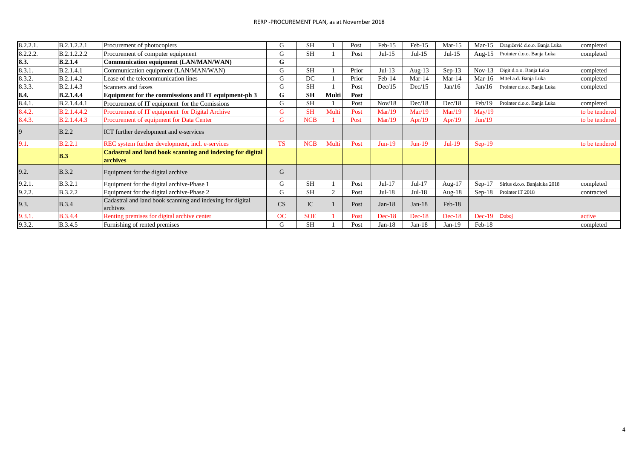| 8.2.2.1. | B.2.1.2.2.1      | Procurement of photocopiers                                           | G         | <b>SH</b>  |       | Post  | $Feb-15$ | $Feb-15$  | $Mar-15$  | $Mar-15$  | Dragičević d.o.o. Banja Luka | completed      |
|----------|------------------|-----------------------------------------------------------------------|-----------|------------|-------|-------|----------|-----------|-----------|-----------|------------------------------|----------------|
| 8.2.2.2. | B.2.1.2.2.2      | Procurement of computer equipment                                     | G         | <b>SH</b>  |       | Post  | $Jul-15$ | $Jul-15$  | $Jul-15$  | Aug- $15$ | Prointer d.o.o. Banja Luka   | completed      |
| 8.3.     | <b>B.2.1.4</b>   | Communication equipment (LAN/MAN/WAN)                                 | G         |            |       |       |          |           |           |           |                              |                |
| 8.3.1.   | B.2.1.4.1        | Communication equipment (LAN/MAN/WAN)                                 | G         | <b>SH</b>  |       | Prior | $Jul-13$ | Aug- $13$ | $Sep-13$  | $Nov-13$  | Digit d.o.o. Banja Luka      | completed      |
| 8.3.2.   | B.2.1.4.2        | Lease of the telecommunication lines                                  | G         | DC         |       | Prior | $Feb-14$ | $Mar-14$  | $Mar-14$  | $Mar-16$  | M:tel a.d. Banja Luka        | completed      |
| 8.3.3.   | <b>B.2.1.4.3</b> | Scanners and faxes                                                    | G         | <b>SH</b>  |       | Post  | Dec/15   | Dec/15    | Jan/16    | Jan/16    | Prointer d.o.o. Banja Luka   | completed      |
| 8.4.     | <b>B.2.1.4.4</b> | Equipment for the commisssions and IT equipment-ph 3                  | G         | <b>SH</b>  | Multi | Post  |          |           |           |           |                              |                |
| 8.4.1.   | B.2.1.4.4.1      | Procurement of IT equipment for the Comissions                        | G         | <b>SH</b>  |       | Post  | Nov/18   | Dec/18    | Dec/18    | Feb/19    | Prointer d.o.o. Banja Luka   | completed      |
| 8.4.2.   | B.2.1.4.4.2      | Procurement of IT equipment for Digital Archive                       | G         | <b>SH</b>  | Multi | Post  | Mar/19   | Mar/19    | Mar/19    | May/19    |                              | to be tendered |
| 8.4.3.   | B.2.1.4.4.3      | Procurement of equipment for Data Center                              | G         | <b>NCB</b> |       | Post  | Mar/19   | Apr/19    | Apr/19    | Jun/19    |                              | to be tendered |
| 9        | B.2.2            | ICT further development and e-services                                |           |            |       |       |          |           |           |           |                              |                |
| 9.1.     | <b>B.2.2.1</b>   | REC system further development, incl. e-services                      | <b>TS</b> | <b>NCB</b> | Multi | Post  | $Jun-19$ | $Jun-19$  | $Jul-19$  | $Sep-19$  |                              | to be tendered |
|          | $\mathbf{B.3}$   | Cadastral and land book scanning and indexing for digital<br>archives |           |            |       |       |          |           |           |           |                              |                |
| 9.2.     | <b>B.3.2</b>     | Equipment for the digital archive                                     | G         |            |       |       |          |           |           |           |                              |                |
| 9.2.1.   | B.3.2.1          | Equipment for the digital archive-Phase 1                             | G         | <b>SH</b>  |       | Post  | $Jul-17$ | $Jul-17$  | Aug- $17$ | $Sep-17$  | Sirius d.o.o. Banjaluka 2018 | completed      |
| 9.2.2.   | <b>B.3.2.2</b>   | Equipment for the digital archive-Phase 2                             | G         | <b>SH</b>  | 2     | Post  | $Jul-18$ | $Jul-18$  | Aug- $18$ | $Sep-18$  | Prointer IT 2018             | contracted     |
| 9.3.     | <b>B.3.4</b>     | Cadastral and land book scanning and indexing for digital<br>archives | CS        | IC         |       | Post  | $Jan-18$ | $Jan-18$  | $Feb-18$  |           |                              |                |
| 9.3.1.   | <b>B.3.4.4</b>   | Renting premises for digital archive center                           | OC        | <b>SOE</b> |       | Post  | $Dec-18$ | $Dec-18$  | $Dec-18$  | $Dec-19$  | Doboj                        | active         |
| 9.3.2.   | <b>B.3.4.5</b>   | Furnishing of rented premises                                         | G         | <b>SH</b>  |       | Post  | $Jan-18$ | $Jan-18$  | $Jan-19$  | Feb-18    |                              | completed      |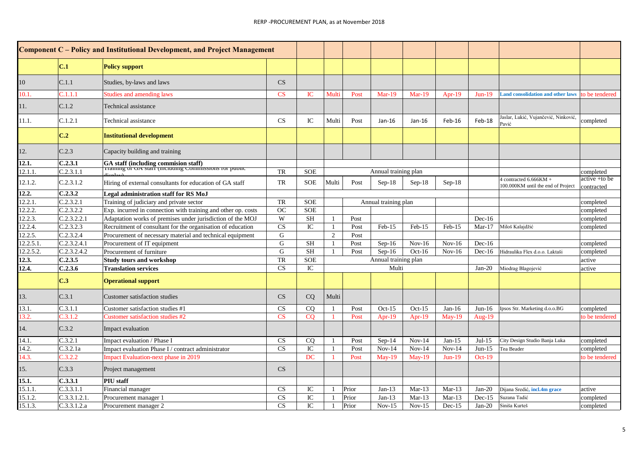|           |              | <b>Component C</b> – Policy and Institutional Development, and Project Management              |                        |            |              |       |                      |          |          |          |                                                              |                             |
|-----------|--------------|------------------------------------------------------------------------------------------------|------------------------|------------|--------------|-------|----------------------|----------|----------|----------|--------------------------------------------------------------|-----------------------------|
|           | C.1          | <b>Policy support</b>                                                                          |                        |            |              |       |                      |          |          |          |                                                              |                             |
| 10        | C.1.1        | Studies, by-laws and laws                                                                      | CS                     |            |              |       |                      |          |          |          |                                                              |                             |
| 10.1      | C.1.1.1      | <b>Studies and amending laws</b>                                                               | CS                     | IC         | Multi        | Post  | $Mar-19$             | $Mar-19$ | $Apr-19$ | $Jun-19$ | <b>Land consolidation and other laws</b>                     | to be tendered              |
| l 1.      | C.1.2        | Technical assistance                                                                           |                        |            |              |       |                      |          |          |          |                                                              |                             |
| 11.1.     | C.1.2.1      | Technical assistance                                                                           | CS                     | IC         | Multi        | Post  | $Jan-16$             | $Jan-16$ | Feb-16   | Feb-18   | Jaslar, Lukić, Vujančević, Ninković,<br>Pavić                | completed                   |
|           | C.2          | <b>Institutional development</b>                                                               |                        |            |              |       |                      |          |          |          |                                                              |                             |
| 12.       | C.2.3        | Capacity building and training                                                                 |                        |            |              |       |                      |          |          |          |                                                              |                             |
| 12.1.     | C.2.3.1      | GA staff (including commision staff)<br>Training or GA starf (including Commissions for public |                        |            |              |       |                      |          |          |          |                                                              |                             |
| 12.1.1.   | C.2.3.1.1    |                                                                                                | TR                     | <b>SOE</b> |              |       | Annual training plan |          |          |          |                                                              | completed                   |
| 12.1.2.   | C.2.3.1.2    | Hiring of external consultants for education of GA staff                                       | TR                     | <b>SOE</b> | Multi        | Post  | $Sep-18$             | $Sep-18$ | $Sep-18$ |          | 4 contracted 6.666KM +<br>100.000KM until the end of Project | active +to be<br>contracted |
| 12.2.     | C.2.3.2      | Legal administration staff for RS MoJ                                                          |                        |            |              |       |                      |          |          |          |                                                              |                             |
| 12.2.1.   | C.2.3.2.1    | Training of judiciary and private sector                                                       | TR                     | <b>SOE</b> |              |       | Annual training plan |          |          |          |                                                              | completed                   |
| 12.2.2.   | C.2.3.2.2    | Exp. incurred in connection with training and other op. costs                                  | <b>OC</b>              | <b>SOE</b> |              |       |                      |          |          |          |                                                              | completed                   |
| 12.2.3.   | C.2.3.2.2.1  | Adaptation works of premises under jurisdiction of the MOJ                                     | W                      | <b>SH</b>  |              | Post  |                      |          |          | $Dec-16$ |                                                              | completed                   |
| 12.2.4.   | C.2.3.2.3    | Recruitment of consultant for the organisation of education                                    | $\overline{\text{CS}}$ | IC         | $\mathbf{1}$ | Post  | Feb-15               | Feb-15   | $Feb-15$ | $Mar-17$ | Miloš Kalajdžić                                              | completed                   |
| 12.2.5.   | C.2.3.2.4    | Procurement of necessary material and technical equipment                                      | G                      |            | 2            | Post  |                      |          |          |          |                                                              |                             |
| 12.2.5.1  | C.2.3.2.4.1  | Procurement of IT equipment                                                                    | G                      | <b>SH</b>  |              | Post  | $Sep-16$             | $Nov-16$ | $Nov-16$ | $Dec-16$ |                                                              | completed                   |
| 12.2.5.2. | C.2.3.2.4.2  | Procurement of furniture                                                                       | $\mathbf G$            | <b>SH</b>  | $\mathbf{1}$ | Post  | $Sep-16$             | $Oct-16$ | $Nov-16$ | $Dec-16$ | Hidraulika Flex d.o.o. Laktaši                               | completed                   |
| 12.3.     | C.2.3.5      | <b>Study tours and workshop</b>                                                                | TR                     | <b>SOE</b> |              |       | Annual training plan |          |          |          |                                                              | active                      |
| 12.4.     | C.2.3.6      | <b>Translation services</b>                                                                    | CS                     | ${\rm IC}$ |              |       | Multi                |          |          | $Jan-20$ | Miodrag Blagojević                                           | active                      |
|           | C.3          | <b>Operational support</b>                                                                     |                        |            |              |       |                      |          |          |          |                                                              |                             |
| 13.       | C.3.1        | <b>Customer satisfaction studies</b>                                                           | CS                     | CQ         | Multi        |       |                      |          |          |          |                                                              |                             |
| 13.1.     | C.3.1.1      | Customer satisfaction studies #1                                                               | <b>CS</b>              | CQ         |              | Post  | $Oct-15$             | $Oct-15$ | $Jan-16$ | $Jun-16$ | Ipsos Str. Marketing d.o.o.BG                                | completed                   |
| 13.2.     | C.3.1.2      | <b>Customer satisfaction studies #2</b>                                                        | $\overline{\text{CS}}$ | CO         |              | Post  | Apr- $19$            | Apr-19   | $May-19$ | Aug-19   |                                                              | to be tendered              |
| 14.       | C.3.2        | Impact evaluation                                                                              |                        |            |              |       |                      |          |          |          |                                                              |                             |
| 14.1.     | C.3.2.1      | Impact evaluation / Phase I                                                                    | <b>CS</b>              | CQ         |              | Post  | $Sep-14$             | $Nov-14$ | $Jan-15$ | $Jul-15$ | City Design Studio Banja Luka                                | completed                   |
| 14.2.     | C.3.2.1a     | Impact evaluation Phase I / contract administrator                                             | CS                     | IC         |              | Post  | $Nov-14$             | $Nov-14$ | $Nov-14$ | $Jun-15$ | Tea Beader                                                   | completed                   |
| 14.3.     | C.3.2.2      | <b>Impact Evaluation-next phase in 2019</b>                                                    |                        | DC         |              | Post  | $May-19$             | $May-19$ | $Jun-19$ | $Oct-19$ |                                                              | to be tendered              |
| I5.       | C.3.3        | Project management                                                                             | CS                     |            |              |       |                      |          |          |          |                                                              |                             |
| 15.1.     | C.3.3.1      | PIU staff                                                                                      |                        |            |              |       |                      |          |          |          |                                                              |                             |
| 15.1.1.   | C.3.3.1.1    | Financial manager                                                                              | CS                     | IC         |              | Prior | $Jan-13$             | $Mar-13$ | $Mar-13$ | $Jan-20$ | Dijana Sredić, incl.4m grace                                 | active                      |
| 15.1.2.   | C.3.3.1.2.1. | Procurement manager 1                                                                          | CS                     | IC         |              | Prior | $Jan-13$             | $Mar-13$ | $Mar-13$ | $Dec-15$ | Suzana Tadić                                                 | completed                   |
| 15.1.3.   | C.3.3.1.2.a  | Procurement manager 2                                                                          | CS                     | ${\rm IC}$ |              | Prior | $Nov-15$             | $Nov-15$ | $Dec-15$ | $Jan-20$ | Siniša Kurteš                                                | completed                   |